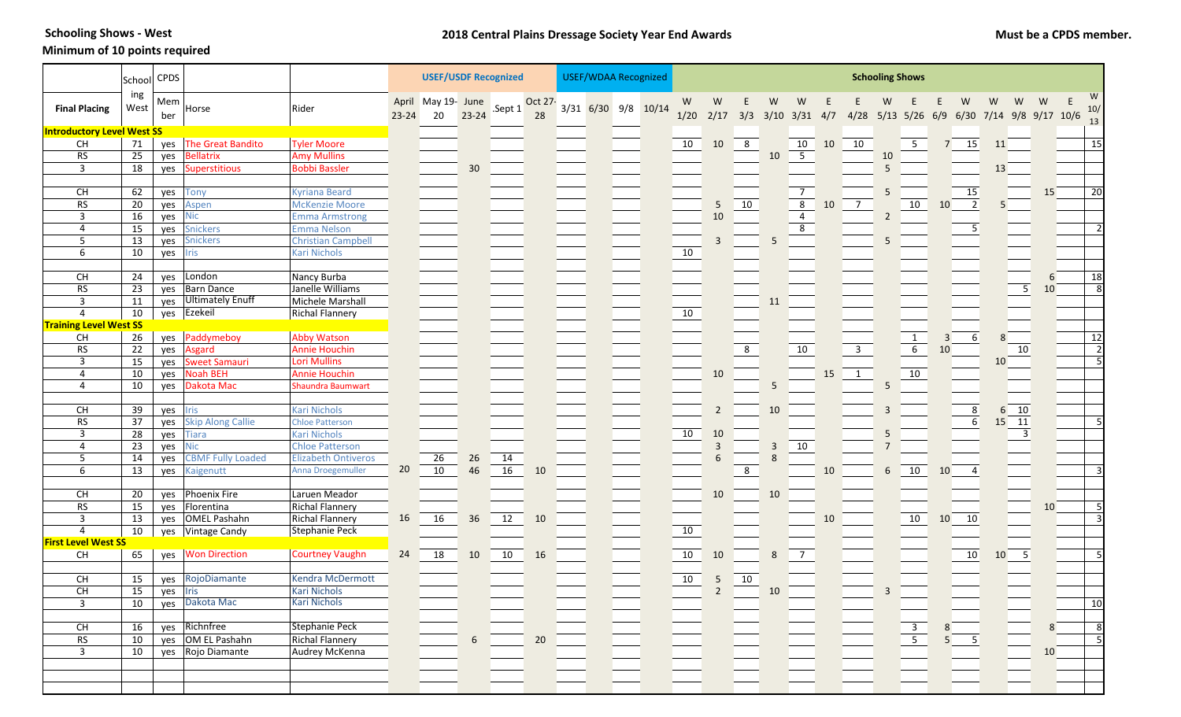**Schooling Shows - West** 

## **Minimum of 10 points required**

|                                          | School          | <b>CPDS</b>             |                          |                            | <b>USEF/USDF Recognized</b> |                                 |                 |                 |               | <b>USEF/WDAA Recognized</b> |  |  |                     | <b>Schooling Shows</b> |                |                |              |                         |    |                                           |                |                                                             |        |                              |                |                            |    |                |
|------------------------------------------|-----------------|-------------------------|--------------------------|----------------------------|-----------------------------|---------------------------------|-----------------|-----------------|---------------|-----------------------------|--|--|---------------------|------------------------|----------------|----------------|--------------|-------------------------|----|-------------------------------------------|----------------|-------------------------------------------------------------|--------|------------------------------|----------------|----------------------------|----|----------------|
| <b>Final Placing</b>                     | ing<br>West     | Mem <sup>1</sup><br>ber | Horse                    | Rider                      | $23 - 24$                   | April May 19- June Sept 1<br>20 | $23 - 24$       |                 | Oct 27-<br>28 |                             |  |  | 3/31 6/30 9/8 10/14 | W<br>1/20              | W              | E              | W            | W                       |    | 2/17 3/3 3/10 3/31 4/7 4/28 5/13 5/26 6/9 | W              |                                                             |        | W<br>6/30 7/14 9/8 9/17 10/6 | W              | W                          | W  | W<br>10/<br>13 |
| <b>Introductory Level West SS</b>        |                 |                         |                          |                            |                             |                                 |                 |                 |               |                             |  |  |                     |                        |                |                |              |                         |    |                                           |                |                                                             |        |                              |                |                            |    |                |
| CH                                       | 71              |                         | yes The Great Bandito    | <b>Tyler Moore</b>         |                             |                                 |                 |                 |               |                             |  |  |                     | 10                     | 10             | 8 <sup>8</sup> |              | 10 10                   |    | 10                                        |                | 5 <sup>1</sup>                                              |        | 15                           | 11             |                            |    | 15             |
| <b>RS</b>                                | 25              | yes                     | <b>Bellatrix</b>         | <b>Amy Mullins</b>         |                             |                                 |                 |                 |               |                             |  |  |                     |                        |                |                | 10           | $\overline{5}$          |    |                                           | 10             |                                                             |        |                              |                |                            |    |                |
| $\overline{3}$                           | 18              | yes                     | Superstitious            | <b>Bobbi Bassler</b>       |                             |                                 | 30              |                 |               |                             |  |  |                     |                        |                |                |              |                         |    |                                           | 5              |                                                             |        |                              | 13             |                            |    |                |
|                                          |                 |                         |                          |                            |                             |                                 |                 |                 |               |                             |  |  |                     |                        |                |                |              |                         |    |                                           |                |                                                             |        |                              |                |                            |    |                |
| CH                                       | 62              | yes                     | <b>Tony</b>              | <b>Kyriana Beard</b>       |                             |                                 |                 |                 |               |                             |  |  |                     |                        |                |                |              | $\overline{7}$          |    |                                           | 5              |                                                             |        | 15                           |                |                            | 15 | 20             |
| <b>RS</b>                                | 20              | yes                     | Aspen                    | <b>McKenzie Moore</b>      |                             |                                 |                 |                 |               |                             |  |  |                     |                        | .5             | 10             |              | $\overline{\mathbf{8}}$ | 10 | $\overline{7}$                            |                | 10                                                          | 10     | $\overline{2}$               | 5 <sup>5</sup> |                            |    |                |
| 3                                        | 16              | yes                     | <b>Nic</b>               | <b>Emma Armstrong</b>      |                             |                                 |                 |                 |               |                             |  |  |                     |                        | 10             |                |              | $\overline{4}$          |    |                                           | $\overline{2}$ |                                                             |        |                              |                |                            |    |                |
| $\overline{4}$                           | 15              |                         | yes Snickers             | <b>Emma Nelson</b>         |                             |                                 |                 |                 |               |                             |  |  |                     |                        |                |                |              | 8                       |    |                                           |                |                                                             |        | 5                            |                |                            |    |                |
| 5                                        | 13              | yes                     | <b>Snickers</b>          | <b>Christian Campbell</b>  |                             |                                 |                 |                 |               |                             |  |  |                     |                        |                |                |              |                         |    |                                           | 5              |                                                             |        |                              |                |                            |    |                |
| 6                                        | 10              | yes                     | <b>Iris</b>              | <b>Kari Nichols</b>        |                             |                                 |                 |                 |               |                             |  |  |                     | 10                     |                |                |              |                         |    |                                           |                |                                                             |        |                              |                |                            |    |                |
| <b>CH</b>                                | 24              | yes                     | London                   | Nancy Burba                |                             |                                 |                 |                 |               |                             |  |  |                     |                        |                |                |              |                         |    |                                           |                |                                                             |        |                              |                |                            | 6  | 18             |
| <b>RS</b>                                | 23              |                         | yes Barn Dance           | Janelle Williams           |                             |                                 |                 |                 |               |                             |  |  |                     |                        |                |                |              |                         |    |                                           |                |                                                             |        |                              |                | $\overline{\phantom{0}}$ 5 | 10 | 8              |
| 3                                        | 11              | yes                     | Ultimately Enuff         | Michele Marshall           |                             |                                 |                 |                 |               |                             |  |  |                     |                        |                |                | 11           |                         |    |                                           |                |                                                             |        |                              |                |                            |    |                |
| $\overline{4}$                           | 10              |                         | yes Ezekeil              | <b>Richal Flannery</b>     |                             |                                 |                 |                 |               |                             |  |  |                     | 10                     |                |                |              |                         |    |                                           |                |                                                             |        |                              |                |                            |    |                |
| <b>Training Level West SS</b>            |                 |                         |                          |                            |                             |                                 |                 |                 |               |                             |  |  |                     |                        |                |                |              |                         |    |                                           |                |                                                             |        |                              |                |                            |    |                |
| <b>CH</b>                                | 26              | yes                     | Paddymeboy               | <b>Abby Watson</b>         |                             |                                 |                 |                 |               |                             |  |  |                     |                        |                |                |              |                         |    |                                           |                |                                                             | 3      | $6 \overline{6}$             | 8              |                            |    | 12             |
| <b>RS</b>                                | $\overline{22}$ | yes                     | Asgard                   | <b>Annie Houchin</b>       |                             |                                 |                 |                 |               |                             |  |  |                     |                        |                | $\overline{8}$ |              | 10                      |    | $\overline{\mathbf{3}}$                   |                | $\frac{1}{6}$                                               | $10\,$ |                              |                | 10                         |    | $\overline{2}$ |
| $\overline{3}$                           | 15              | yes                     | <b>Sweet Samauri</b>     | <b>Lori Mullins</b>        |                             |                                 |                 |                 |               |                             |  |  |                     |                        |                |                |              |                         |    |                                           |                |                                                             |        |                              | 10             |                            |    | -5             |
| $\overline{4}$                           | 10              | yes                     | <b>Noah BEH</b>          | <b>Annie Houchin</b>       |                             |                                 |                 |                 |               |                             |  |  |                     |                        | 10             |                |              |                         | 15 | $\overline{\phantom{a}}$                  |                | 10                                                          |        |                              |                |                            |    |                |
| $\overline{4}$                           | 10              | yes                     | Dakota Mac               | <b>Shaundra Baumwart</b>   |                             |                                 |                 |                 |               |                             |  |  |                     |                        |                |                | 5            |                         |    |                                           | 5              |                                                             |        |                              |                |                            |    |                |
|                                          |                 |                         |                          |                            |                             |                                 |                 |                 |               |                             |  |  |                     |                        |                |                |              |                         |    |                                           |                |                                                             |        |                              |                |                            |    |                |
| <b>CH</b>                                | 39              | yes                     | <b>Iris</b>              | <b>Kari Nichols</b>        |                             |                                 |                 |                 |               |                             |  |  |                     |                        | $\overline{2}$ |                | 10           |                         |    |                                           | 3              |                                                             |        | 8                            | 6              | 10                         |    |                |
| <b>RS</b>                                | 37              | yes                     | <b>Skip Along Callie</b> | <b>Chloe Patterson</b>     |                             |                                 |                 |                 |               |                             |  |  |                     |                        |                |                |              |                         |    |                                           |                |                                                             |        | $\boldsymbol{6}$             |                | $15$ $11$                  |    |                |
| 3                                        | 28              |                         | yes Tiara                | <b>Kari Nichols</b>        |                             |                                 |                 |                 |               |                             |  |  |                     | $10$                   | 10             |                |              |                         |    |                                           | 5              |                                                             |        |                              |                | $\overline{3}$             |    |                |
| $\overline{4}$                           | 23              | yes                     | <b>Nic</b>               | <b>Chloe Patterson</b>     |                             |                                 |                 |                 |               |                             |  |  |                     |                        | $\overline{3}$ |                | 3            | 10                      |    |                                           |                |                                                             |        |                              |                |                            |    |                |
| 5                                        | 14              | yes                     | <b>CBMF Fully Loaded</b> | <b>Elizabeth Ontiveros</b> |                             | $\overline{26}$                 | 26              | $\overline{14}$ |               |                             |  |  |                     |                        |                |                | $\mathbf{8}$ |                         |    |                                           |                |                                                             |        |                              |                |                            |    |                |
| 6                                        | 13              | yes                     | Kaigenutt                | Anna Droegemuller          | 20                          | 10                              | 46              | 16              | 10            |                             |  |  |                     |                        |                | 8              |              |                         | 10 |                                           | 6              | $\boxed{10}$                                                | 10     | 4                            |                |                            |    |                |
|                                          |                 |                         |                          |                            |                             |                                 |                 |                 |               |                             |  |  |                     |                        |                |                |              |                         |    |                                           |                |                                                             |        |                              |                |                            |    |                |
| CH                                       | 20              |                         | yes Phoenix Fire         | Laruen Meador              |                             |                                 |                 |                 |               |                             |  |  |                     |                        | 10             |                | 10           |                         |    |                                           |                |                                                             |        |                              |                |                            |    |                |
| <b>RS</b>                                | 15              |                         | yes Florentina           | <b>Richal Flannery</b>     |                             |                                 |                 |                 |               |                             |  |  |                     |                        |                |                |              |                         |    |                                           |                |                                                             |        |                              |                |                            | 10 |                |
| 3<br>$\overline{4}$                      | 13              |                         | yes OMEL Pashahn         | <b>Richal Flannery</b>     | 16                          | 16                              | 36              | 12              | 10            |                             |  |  |                     |                        |                |                |              |                         | 10 |                                           |                | 10                                                          | 10     | 10                           |                |                            |    |                |
| <b>First Level West SS</b>               | 10              |                         | yes Vintage Candy        | Stephanie Peck             |                             |                                 |                 |                 |               |                             |  |  |                     | 10                     |                |                |              |                         |    |                                           |                |                                                             |        |                              |                |                            |    |                |
| CH                                       | 65              |                         | yes Won Direction        | Courtney Vaughn            | 24                          | 18                              | 10              | 10              | 16            |                             |  |  |                     | 10                     | 10             |                | 8            | $\sqrt{7}$              |    |                                           |                |                                                             |        | 10                           | 10             | $\overline{\phantom{0}}$   |    |                |
|                                          |                 |                         |                          |                            |                             |                                 |                 |                 |               |                             |  |  |                     |                        |                |                |              |                         |    |                                           |                |                                                             |        |                              |                |                            |    |                |
| <b>CH</b>                                | 15              | yes                     | RojoDiamante             | Kendra McDermott           |                             |                                 |                 |                 |               |                             |  |  |                     | 10                     | 5              | 10             |              |                         |    |                                           |                |                                                             |        |                              |                |                            |    |                |
| <b>CH</b>                                | 15              | yes Iris                |                          | Kari Nichols               |                             |                                 |                 |                 |               |                             |  |  |                     |                        |                |                | 10           |                         |    |                                           | 3              |                                                             |        |                              |                |                            |    |                |
| $\overline{3}$                           | 10              |                         | yes Dakota Mac           | <b>Kari Nichols</b>        |                             |                                 |                 |                 |               |                             |  |  |                     |                        |                |                |              |                         |    |                                           |                |                                                             |        |                              |                |                            |    | 10             |
|                                          |                 |                         |                          |                            |                             |                                 |                 |                 |               |                             |  |  |                     |                        |                |                |              |                         |    |                                           |                |                                                             |        |                              |                |                            |    |                |
| $\mathsf{CH}% \left( \mathcal{M}\right)$ | 16              | yes                     | Richnfree                | <b>Stephanie Peck</b>      |                             |                                 |                 |                 |               |                             |  |  |                     |                        |                |                |              |                         |    |                                           |                |                                                             |        |                              |                |                            | 8  | 8              |
| ${\sf RS}$                               | 10              |                         | yes OM EL Pashahn        | <b>Richal Flannery</b>     |                             |                                 | $6\phantom{.}6$ |                 | 20            |                             |  |  |                     |                        |                |                |              |                         |    |                                           |                | $\begin{array}{ c c }\n\hline\n3 \\ \hline\n5\n\end{array}$ |        | $\overline{\phantom{0}}$     |                |                            |    | -5             |
| $\overline{3}$                           | 10              |                         | yes Rojo Diamante        | Audrey McKenna             |                             |                                 |                 |                 |               |                             |  |  |                     |                        |                |                |              |                         |    |                                           |                |                                                             |        |                              |                |                            | 10 |                |
|                                          |                 |                         |                          |                            |                             |                                 |                 |                 |               |                             |  |  |                     |                        |                |                |              |                         |    |                                           |                |                                                             |        |                              |                |                            |    |                |
|                                          |                 |                         |                          |                            |                             |                                 |                 |                 |               |                             |  |  |                     |                        |                |                |              |                         |    |                                           |                |                                                             |        |                              |                |                            |    |                |
|                                          |                 |                         |                          |                            |                             |                                 |                 |                 |               |                             |  |  |                     |                        |                |                |              |                         |    |                                           |                |                                                             |        |                              |                |                            |    |                |